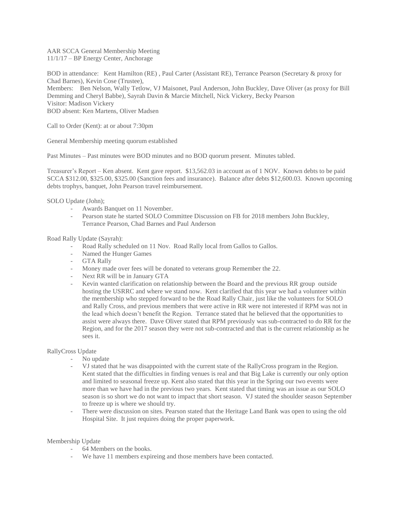AAR SCCA General Membership Meeting 11/1/17 – BP Energy Center, Anchorage

BOD in attendance: Kent Hamilton (RE) , Paul Carter (Assistant RE), Terrance Pearson (Secretary & proxy for Chad Barnes), Kevin Cose (Trustee),

Members: Ben Nelson, Wally Tetlow, VJ Maisonet, Paul Anderson, John Buckley, Dave Oliver (as proxy for Bill Demming and Cheryl Babbe), Sayrah Davin & Marcie Mitchell, Nick Vickery, Becky Pearson Visitor: Madison Vickery BOD absent: Ken Martens, Oliver Madsen

Call to Order (Kent): at or about 7:30pm

General Membership meeting quorum established

Past Minutes – Past minutes were BOD minutes and no BOD quorum present. Minutes tabled.

Treasurer's Report – Ken absent. Kent gave report. \$13,562.03 in account as of 1 NOV. Known debts to be paid SCCA \$312.00, \$325.00, \$325.00 (Sanction fees and insurance). Balance after debts \$12,600.03. Known upcoming debts trophys, banquet, John Pearson travel reimbursement.

SOLO Update (John);

- Awards Banquet on 11 November.
- Pearson state he started SOLO Committee Discussion on FB for 2018 members John Buckley, Terrance Pearson, Chad Barnes and Paul Anderson

Road Rally Update (Sayrah):

- Road Rally scheduled on 11 Nov. Road Rally local from Gallos to Gallos.
- Named the Hunger Games
- GTA Rally
- Money made over fees will be donated to veterans group Remember the 22.
- Next RR will be in January GTA
- Kevin wanted clarification on relationship between the Board and the previous RR group outside hosting the USRRC and where we stand now. Kent clarified that this year we had a volunteer within the membership who stepped forward to be the Road Rally Chair, just like the volunteers for SOLO and Rally Cross, and previous members that were active in RR were not interested if RPM was not in the lead which doesn't benefit the Region. Terrance stated that he believed that the opportunities to assist were always there. Dave Oliver stated that RPM previously was sub-contracted to do RR for the Region, and for the 2017 season they were not sub-contracted and that is the current relationship as he sees it.

### RallyCross Update

- No update
- VJ stated that he was disappointed with the current state of the RallyCross program in the Region. Kent stated that the difficulties in finding venues is real and that Big Lake is currently our only option and limited to seasonal freeze up. Kent also stated that this year in the Spring our two events were more than we have had in the previous two years. Kent stated that timing was an issue as our SOLO season is so short we do not want to impact that short season. VJ stated the shoulder season September to freeze up is where we should try.
- There were discussion on sites. Pearson stated that the Heritage Land Bank was open to using the old Hospital Site. It just requires doing the proper paperwork.

### Membership Update

- 64 Members on the books.
- We have 11 members expireing and those members have been contacted.